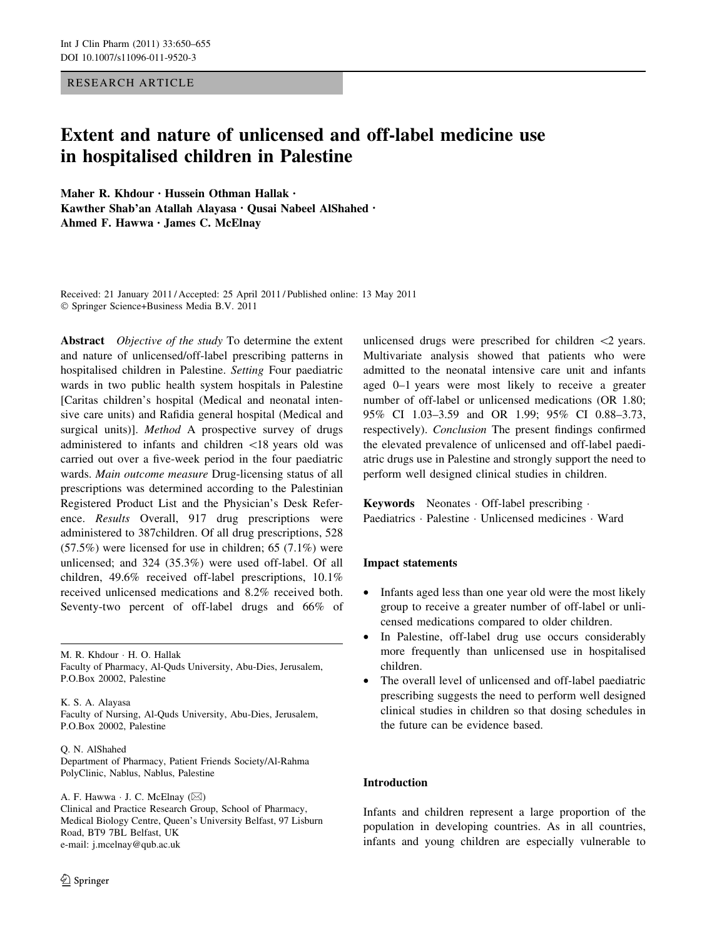RESEARCH ARTICLE

# Extent and nature of unlicensed and off-label medicine use in hospitalised children in Palestine

Maher R. Khdour • Hussein Othman Hallak • Kawther Shab'an Atallah Alayasa • Qusai Nabeel AlShahed • Ahmed F. Hawwa • James C. McElnay

Received: 21 January 2011 / Accepted: 25 April 2011 / Published online: 13 May 2011 - Springer Science+Business Media B.V. 2011

Abstract Objective of the study To determine the extent and nature of unlicensed/off-label prescribing patterns in hospitalised children in Palestine. Setting Four paediatric wards in two public health system hospitals in Palestine [Caritas children's hospital (Medical and neonatal intensive care units) and Rafidia general hospital (Medical and surgical units)]. Method A prospective survey of drugs administered to infants and children \18 years old was carried out over a five-week period in the four paediatric wards. Main outcome measure Drug-licensing status of all prescriptions was determined according to the Palestinian Registered Product List and the Physician's Desk Reference. Results Overall, 917 drug prescriptions were administered to 387children. Of all drug prescriptions, 528 (57.5%) were licensed for use in children; 65 (7.1%) were unlicensed; and 324 (35.3%) were used off-label. Of all children, 49.6% received off-label prescriptions, 10.1% received unlicensed medications and 8.2% received both. Seventy-two percent of off-label drugs and 66% of

M. R. Khdour - H. O. Hallak Faculty of Pharmacy, Al-Quds University, Abu-Dies, Jerusalem, P.O.Box 20002, Palestine

K. S. A. Alayasa Faculty of Nursing, Al-Quds University, Abu-Dies, Jerusalem, P.O.Box 20002, Palestine

Q. N. AlShahed Department of Pharmacy, Patient Friends Society/Al-Rahma PolyClinic, Nablus, Nablus, Palestine

A. F. Hawwa  $\cdot$  J. C. McElnay ( $\boxtimes$ ) Clinical and Practice Research Group, School of Pharmacy, Medical Biology Centre, Queen's University Belfast, 97 Lisburn Road, BT9 7BL Belfast, UK e-mail: j.mcelnay@qub.ac.uk

unlicensed drugs were prescribed for children  $\langle 2 \rangle$  years. Multivariate analysis showed that patients who were admitted to the neonatal intensive care unit and infants aged 0–1 years were most likely to receive a greater number of off-label or unlicensed medications (OR 1.80; 95% CI 1.03–3.59 and OR 1.99; 95% CI 0.88–3.73, respectively). Conclusion The present findings confirmed the elevated prevalence of unlicensed and off-label paediatric drugs use in Palestine and strongly support the need to perform well designed clinical studies in children.

Keywords Neonates - Off-label prescribing - Paediatrics · Palestine · Unlicensed medicines · Ward

# Impact statements

- Infants aged less than one year old were the most likely group to receive a greater number of off-label or unlicensed medications compared to older children.
- In Palestine, off-label drug use occurs considerably more frequently than unlicensed use in hospitalised children.
- The overall level of unlicensed and off-label paediatric prescribing suggests the need to perform well designed clinical studies in children so that dosing schedules in the future can be evidence based.

# Introduction

Infants and children represent a large proportion of the population in developing countries. As in all countries, infants and young children are especially vulnerable to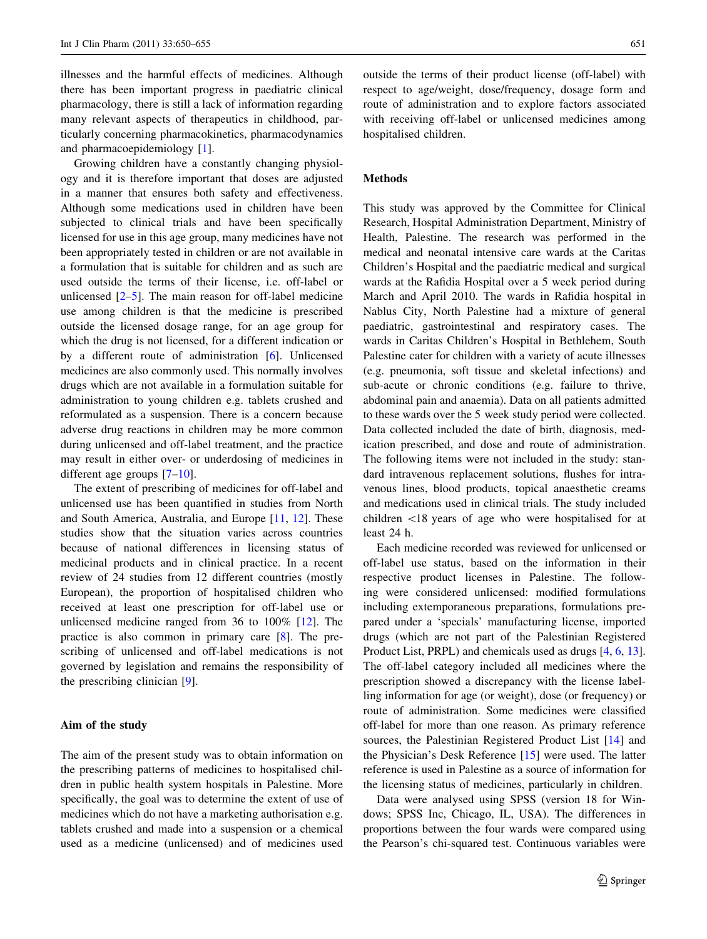illnesses and the harmful effects of medicines. Although there has been important progress in paediatric clinical pharmacology, there is still a lack of information regarding many relevant aspects of therapeutics in childhood, particularly concerning pharmacokinetics, pharmacodynamics and pharmacoepidemiology [\[1](#page-4-0)].

Growing children have a constantly changing physiology and it is therefore important that doses are adjusted in a manner that ensures both safety and effectiveness. Although some medications used in children have been subjected to clinical trials and have been specifically licensed for use in this age group, many medicines have not been appropriately tested in children or are not available in a formulation that is suitable for children and as such are used outside the terms of their license, i.e. off-label or unlicensed  $[2-5]$  $[2-5]$ . The main reason for off-label medicine use among children is that the medicine is prescribed outside the licensed dosage range, for an age group for which the drug is not licensed, for a different indication or by a different route of administration [\[6](#page-5-0)]. Unlicensed medicines are also commonly used. This normally involves drugs which are not available in a formulation suitable for administration to young children e.g. tablets crushed and reformulated as a suspension. There is a concern because adverse drug reactions in children may be more common during unlicensed and off-label treatment, and the practice may result in either over- or underdosing of medicines in different age groups [[7–10\]](#page-5-0).

The extent of prescribing of medicines for off-label and unlicensed use has been quantified in studies from North and South America, Australia, and Europe [[11,](#page-5-0) [12](#page-5-0)]. These studies show that the situation varies across countries because of national differences in licensing status of medicinal products and in clinical practice. In a recent review of 24 studies from 12 different countries (mostly European), the proportion of hospitalised children who received at least one prescription for off-label use or unlicensed medicine ranged from 36 to 100% [\[12](#page-5-0)]. The practice is also common in primary care [\[8](#page-5-0)]. The prescribing of unlicensed and off-label medications is not governed by legislation and remains the responsibility of the prescribing clinician [\[9](#page-5-0)].

#### Aim of the study

The aim of the present study was to obtain information on the prescribing patterns of medicines to hospitalised children in public health system hospitals in Palestine. More specifically, the goal was to determine the extent of use of medicines which do not have a marketing authorisation e.g. tablets crushed and made into a suspension or a chemical used as a medicine (unlicensed) and of medicines used outside the terms of their product license (off-label) with respect to age/weight, dose/frequency, dosage form and route of administration and to explore factors associated with receiving off-label or unlicensed medicines among hospitalised children.

## Methods

This study was approved by the Committee for Clinical Research, Hospital Administration Department, Ministry of Health, Palestine. The research was performed in the medical and neonatal intensive care wards at the Caritas Children's Hospital and the paediatric medical and surgical wards at the Rafidia Hospital over a 5 week period during March and April 2010. The wards in Rafidia hospital in Nablus City, North Palestine had a mixture of general paediatric, gastrointestinal and respiratory cases. The wards in Caritas Children's Hospital in Bethlehem, South Palestine cater for children with a variety of acute illnesses (e.g. pneumonia, soft tissue and skeletal infections) and sub-acute or chronic conditions (e.g. failure to thrive, abdominal pain and anaemia). Data on all patients admitted to these wards over the 5 week study period were collected. Data collected included the date of birth, diagnosis, medication prescribed, and dose and route of administration. The following items were not included in the study: standard intravenous replacement solutions, flushes for intravenous lines, blood products, topical anaesthetic creams and medications used in clinical trials. The study included children \18 years of age who were hospitalised for at least 24 h.

Each medicine recorded was reviewed for unlicensed or off-label use status, based on the information in their respective product licenses in Palestine. The following were considered unlicensed: modified formulations including extemporaneous preparations, formulations prepared under a 'specials' manufacturing license, imported drugs (which are not part of the Palestinian Registered Product List, PRPL) and chemicals used as drugs [[4,](#page-5-0) [6,](#page-5-0) [13](#page-5-0)]. The off-label category included all medicines where the prescription showed a discrepancy with the license labelling information for age (or weight), dose (or frequency) or route of administration. Some medicines were classified off-label for more than one reason. As primary reference sources, the Palestinian Registered Product List [\[14](#page-5-0)] and the Physician's Desk Reference [[15\]](#page-5-0) were used. The latter reference is used in Palestine as a source of information for the licensing status of medicines, particularly in children.

Data were analysed using SPSS (version 18 for Windows; SPSS Inc, Chicago, IL, USA). The differences in proportions between the four wards were compared using the Pearson's chi-squared test. Continuous variables were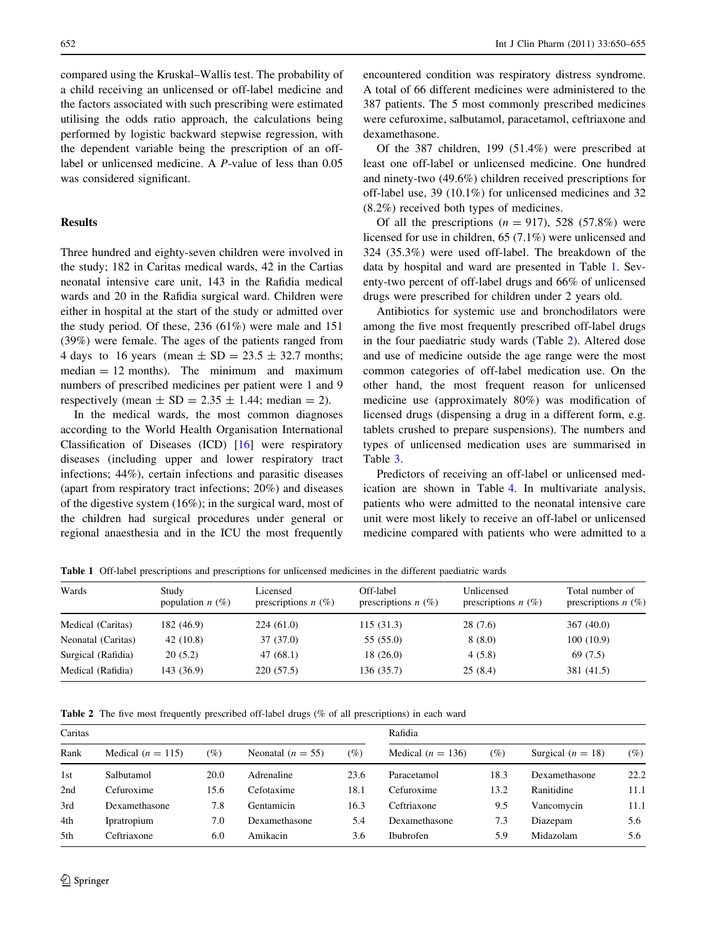compared using the Kruskal–Wallis test. The probability of a child receiving an unlicensed or off-label medicine and the factors associated with such prescribing were estimated utilising the odds ratio approach, the calculations being performed by logistic backward stepwise regression, with the dependent variable being the prescription of an offlabel or unlicensed medicine. A P-value of less than 0.05 was considered significant.

## Results

Three hundred and eighty-seven children were involved in the study; 182 in Caritas medical wards, 42 in the Cartias neonatal intensive care unit, 143 in the Rafidia medical wards and 20 in the Rafidia surgical ward. Children were either in hospital at the start of the study or admitted over the study period. Of these, 236 (61%) were male and 151 (39%) were female. The ages of the patients ranged from 4 days to 16 years (mean  $\pm$  SD = 23.5  $\pm$  32.7 months;  $median = 12$  months). The minimum and maximum numbers of prescribed medicines per patient were 1 and 9 respectively (mean  $\pm$  SD = 2.35  $\pm$  1.44; median = 2).

In the medical wards, the most common diagnoses according to the World Health Organisation International Classification of Diseases (ICD) [[16\]](#page-5-0) were respiratory diseases (including upper and lower respiratory tract infections; 44%), certain infections and parasitic diseases (apart from respiratory tract infections; 20%) and diseases of the digestive system (16%); in the surgical ward, most of the children had surgical procedures under general or regional anaesthesia and in the ICU the most frequently encountered condition was respiratory distress syndrome. A total of 66 different medicines were administered to the 387 patients. The 5 most commonly prescribed medicines were cefuroxime, salbutamol, paracetamol, ceftriaxone and dexamethasone.

Of the 387 children, 199 (51.4%) were prescribed at least one off-label or unlicensed medicine. One hundred and ninety-two (49.6%) children received prescriptions for off-label use, 39 (10.1%) for unlicensed medicines and 32 (8.2%) received both types of medicines.

Of all the prescriptions  $(n = 917)$ , 528 (57.8%) were licensed for use in children, 65 (7.1%) were unlicensed and 324 (35.3%) were used off-label. The breakdown of the data by hospital and ward are presented in Table 1. Seventy-two percent of off-label drugs and 66% of unlicensed drugs were prescribed for children under 2 years old.

Antibiotics for systemic use and bronchodilators were among the five most frequently prescribed off-label drugs in the four paediatric study wards (Table 2). Altered dose and use of medicine outside the age range were the most common categories of off-label medication use. On the other hand, the most frequent reason for unlicensed medicine use (approximately 80%) was modification of licensed drugs (dispensing a drug in a different form, e.g. tablets crushed to prepare suspensions). The numbers and types of unlicensed medication uses are summarised in Table [3](#page-3-0).

Predictors of receiving an off-label or unlicensed medication are shown in Table [4](#page-3-0). In multivariate analysis, patients who were admitted to the neonatal intensive care unit were most likely to receive an off-label or unlicensed medicine compared with patients who were admitted to a

Table 1 Off-label prescriptions and prescriptions for unlicensed medicines in the different paediatric wards

| Wards              | Study<br>population $n$ (%) | Licensed<br>prescriptions $n$ (%) | Off-label<br>prescriptions $n$ (%) | Unlicensed<br>prescriptions $n$ (%) | Total number of<br>prescriptions $n$ (%) |
|--------------------|-----------------------------|-----------------------------------|------------------------------------|-------------------------------------|------------------------------------------|
| Medical (Caritas)  | 182 (46.9)                  | 224(61.0)                         | 115(31.3)                          | 28 (7.6)                            | 367(40.0)                                |
| Neonatal (Caritas) | 42(10.8)                    | 37(37.0)                          | 55 (55.0)                          | 8(8.0)                              | 100(10.9)                                |
| Surgical (Rafidia) | 20(5.2)                     | 47(68.1)                          | 18(26.0)                           | 4(5.8)                              | 69 (7.5)                                 |
| Medical (Rafidia)  | 143 (36.9)                  | 220 (57.5)                        | 136 (35.7)                         | 25(8.4)                             | 381 (41.5)                               |
|                    |                             |                                   |                                    |                                     |                                          |

Table 2 The five most frequently prescribed off-label drugs (% of all prescriptions) in each ward

| Caritas |                       |        |                     |        | Rafidia               |      |                       |        |
|---------|-----------------------|--------|---------------------|--------|-----------------------|------|-----------------------|--------|
| Rank    | Medical ( $n = 115$ ) | $(\%)$ | Neonatal $(n = 55)$ | $(\%)$ | Medical ( $n = 136$ ) | (%)  | Surgical ( $n = 18$ ) | $(\%)$ |
| 1st     | Salbutamol            | 20.0   | Adrenaline          | 23.6   | Paracetamol           | 18.3 | Dexamethasone         | 22.2   |
| 2nd     | Cefuroxime            | 15.6   | Cefotaxime          | 18.1   | Cefuroxime            | 13.2 | Ranitidine            | 11.1   |
| 3rd     | Dexamethasone         | 7.8    | Gentamicin          | 16.3   | Ceftriaxone           | 9.5  | Vancomycin            | 11.1   |
| 4th     | Ipratropium           | 7.0    | Dexamethasone       | 5.4    | Dexamethasone         | 7.3  | Diazepam              | 5.6    |
| 5th     | Ceftriaxone           | 6.0    | Amikacin            | 3.6    | <b>Ibubrofen</b>      | 5.9  | Midazolam             | 5.6    |
|         |                       |        |                     |        |                       |      |                       |        |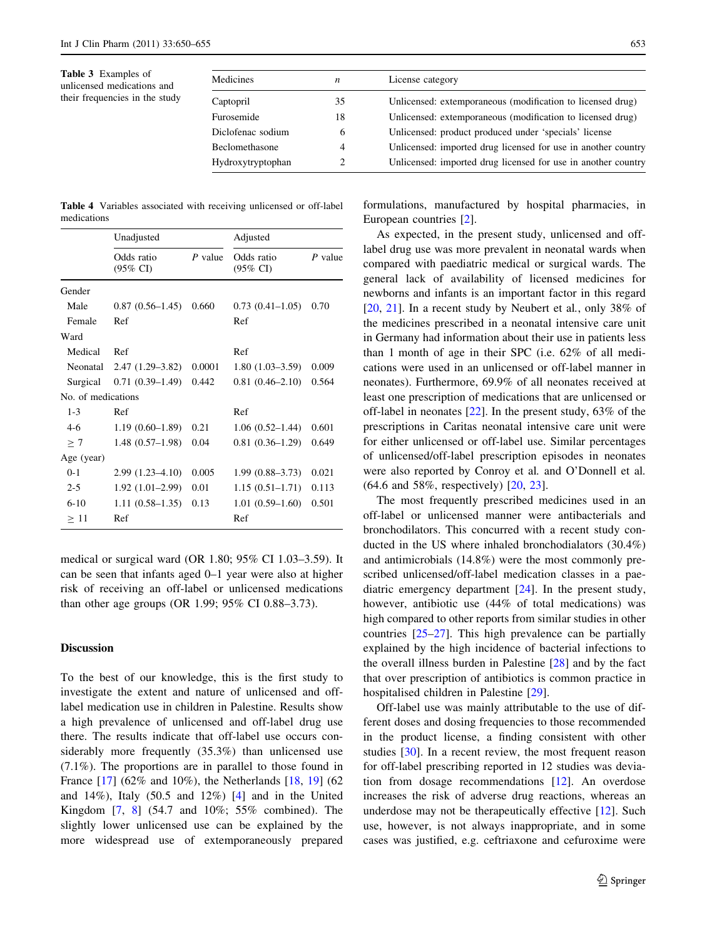<span id="page-3-0"></span>Table 3 Examples of unlicensed medications and their frequencies in the study

| Medicines         | n  | License category                                              |
|-------------------|----|---------------------------------------------------------------|
| Captopril         | 35 | Unlicensed: extemporaneous (modification to licensed drug)    |
| Furosemide        | 18 | Unlicensed: extemporaneous (modification to licensed drug)    |
| Diclofenac sodium | 6  | Unlicensed: product produced under 'specials' license         |
| Beclomethasone    | 4  | Unlicensed: imported drug licensed for use in another country |
| Hydroxytryptophan | 2  | Unlicensed: imported drug licensed for use in another country |
|                   |    |                                                               |

Table 4 Variables associated with receiving unlicensed or off-label medications

|                    | Unadjusted                        |           | Adjusted               |           |  |
|--------------------|-----------------------------------|-----------|------------------------|-----------|--|
|                    | Odds ratio<br>$(95\% \text{ CI})$ | $P$ value | Odds ratio<br>(95% CI) | $P$ value |  |
| Gender             |                                   |           |                        |           |  |
| Male               | $0.87(0.56-1.45)$                 | 0.660     | $0.73(0.41-1.05)$      | 0.70      |  |
| Female             | Ref                               |           | Ref                    |           |  |
| Ward               |                                   |           |                        |           |  |
| Medical            | Ref                               |           | Ref                    |           |  |
| Neonatal           | $2.47(1.29-3.82)$                 | 0.0001    | $1.80(1.03-3.59)$      | 0.009     |  |
| Surgical           | $0.71(0.39-1.49)$                 | 0.442     | $0.81(0.46 - 2.10)$    | 0.564     |  |
| No. of medications |                                   |           |                        |           |  |
| $1 - 3$            | Ref                               |           | Ref                    |           |  |
| $4-6$              | $1.19(0.60-1.89)$                 | 0.21      | $1.06(0.52 - 1.44)$    | 0.601     |  |
| > 7                | $1.48(0.57-1.98)$                 | 0.04      | $0.81(0.36-1.29)$      | 0.649     |  |
| Age (year)         |                                   |           |                        |           |  |
| $0-1$              | $2.99(1.23 - 4.10)$               | 0.005     | $1.99(0.88 - 3.73)$    | 0.021     |  |
| $2 - 5$            | $1.92(1.01-2.99)$                 | 0.01      | $1.15(0.51 - 1.71)$    | 0.113     |  |
| $6-10$             | $1.11(0.58-1.35)$                 | 0.13      | $1.01(0.59-1.60)$      | 0.501     |  |
| $\geq 11$          | Ref                               |           | Ref                    |           |  |

medical or surgical ward (OR 1.80; 95% CI 1.03–3.59). It can be seen that infants aged 0–1 year were also at higher risk of receiving an off-label or unlicensed medications than other age groups (OR 1.99; 95% CI 0.88–3.73).

# **Discussion**

To the best of our knowledge, this is the first study to investigate the extent and nature of unlicensed and offlabel medication use in children in Palestine. Results show a high prevalence of unlicensed and off-label drug use there. The results indicate that off-label use occurs considerably more frequently (35.3%) than unlicensed use (7.1%). The proportions are in parallel to those found in France [\[17](#page-5-0)] (62\% and 10\%), the Netherlands [\[18](#page-5-0), [19](#page-5-0)] (62\) and 14%), Italy (50.5 and 12%) [[4\]](#page-5-0) and in the United Kingdom [[7,](#page-5-0) [8\]](#page-5-0) (54.7 and 10%; 55% combined). The slightly lower unlicensed use can be explained by the more widespread use of extemporaneously prepared formulations, manufactured by hospital pharmacies, in European countries [\[2](#page-4-0)].

As expected, in the present study, unlicensed and offlabel drug use was more prevalent in neonatal wards when compared with paediatric medical or surgical wards. The general lack of availability of licensed medicines for newborns and infants is an important factor in this regard [\[20](#page-5-0), [21](#page-5-0)]. In a recent study by Neubert et al., only 38% of the medicines prescribed in a neonatal intensive care unit in Germany had information about their use in patients less than 1 month of age in their SPC (i.e. 62% of all medications were used in an unlicensed or off-label manner in neonates). Furthermore, 69.9% of all neonates received at least one prescription of medications that are unlicensed or off-label in neonates [[22\]](#page-5-0). In the present study, 63% of the prescriptions in Caritas neonatal intensive care unit were for either unlicensed or off-label use. Similar percentages of unlicensed/off-label prescription episodes in neonates were also reported by Conroy et al. and O'Donnell et al. (64.6 and 58%, respectively) [[20,](#page-5-0) [23](#page-5-0)].

The most frequently prescribed medicines used in an off-label or unlicensed manner were antibacterials and bronchodilators. This concurred with a recent study conducted in the US where inhaled bronchodialators (30.4%) and antimicrobials (14.8%) were the most commonly prescribed unlicensed/off-label medication classes in a paediatric emergency department [\[24](#page-5-0)]. In the present study, however, antibiotic use  $(44\%$  of total medications) was high compared to other reports from similar studies in other countries  $[25-27]$ . This high prevalence can be partially explained by the high incidence of bacterial infections to the overall illness burden in Palestine [\[28](#page-5-0)] and by the fact that over prescription of antibiotics is common practice in hospitalised children in Palestine [\[29](#page-5-0)].

Off-label use was mainly attributable to the use of different doses and dosing frequencies to those recommended in the product license, a finding consistent with other studies [[30\]](#page-5-0). In a recent review, the most frequent reason for off-label prescribing reported in 12 studies was deviation from dosage recommendations [[12\]](#page-5-0). An overdose increases the risk of adverse drug reactions, whereas an underdose may not be therapeutically effective [\[12](#page-5-0)]. Such use, however, is not always inappropriate, and in some cases was justified, e.g. ceftriaxone and cefuroxime were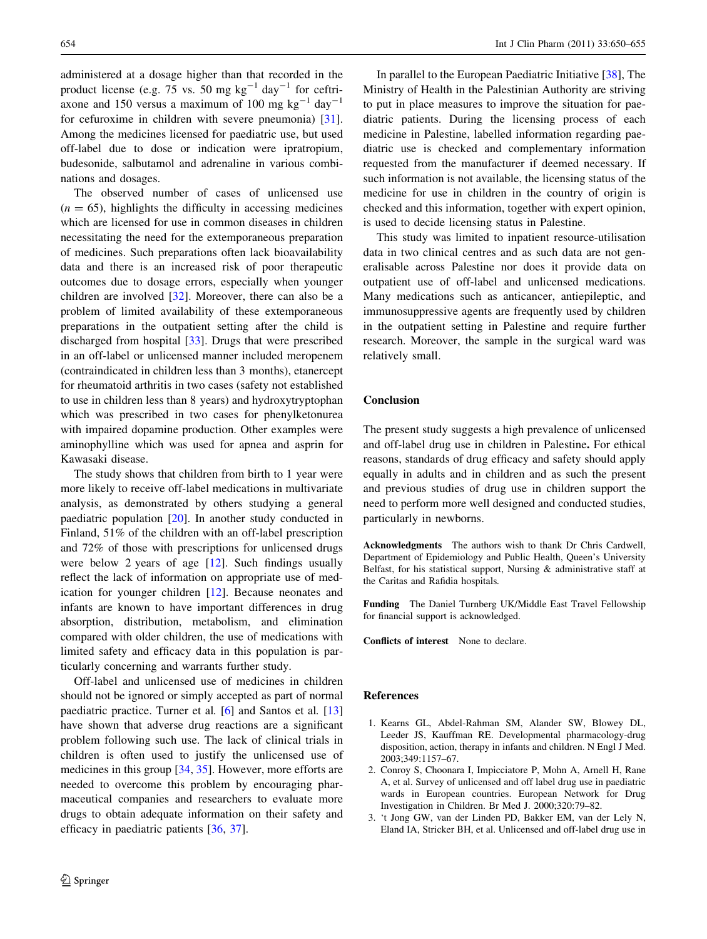<span id="page-4-0"></span>administered at a dosage higher than that recorded in the product license (e.g. 75 vs. 50 mg  $kg^{-1}$  day<sup>-1</sup> for ceftriaxone and 150 versus a maximum of 100 mg  $kg^{-1}$  day<sup>-1</sup> for cefuroxime in children with severe pneumonia) [\[31](#page-5-0)]. Among the medicines licensed for paediatric use, but used off-label due to dose or indication were ipratropium, budesonide, salbutamol and adrenaline in various combinations and dosages.

The observed number of cases of unlicensed use  $(n = 65)$ , highlights the difficulty in accessing medicines which are licensed for use in common diseases in children necessitating the need for the extemporaneous preparation of medicines. Such preparations often lack bioavailability data and there is an increased risk of poor therapeutic outcomes due to dosage errors, especially when younger children are involved [\[32](#page-5-0)]. Moreover, there can also be a problem of limited availability of these extemporaneous preparations in the outpatient setting after the child is discharged from hospital [\[33](#page-5-0)]. Drugs that were prescribed in an off-label or unlicensed manner included meropenem (contraindicated in children less than 3 months), etanercept for rheumatoid arthritis in two cases (safety not established to use in children less than 8 years) and hydroxytryptophan which was prescribed in two cases for phenylketonurea with impaired dopamine production. Other examples were aminophylline which was used for apnea and asprin for Kawasaki disease.

The study shows that children from birth to 1 year were more likely to receive off-label medications in multivariate analysis, as demonstrated by others studying a general paediatric population [[20\]](#page-5-0). In another study conducted in Finland, 51% of the children with an off-label prescription and 72% of those with prescriptions for unlicensed drugs were below 2 years of age [\[12](#page-5-0)]. Such findings usually reflect the lack of information on appropriate use of medication for younger children [[12\]](#page-5-0). Because neonates and infants are known to have important differences in drug absorption, distribution, metabolism, and elimination compared with older children, the use of medications with limited safety and efficacy data in this population is particularly concerning and warrants further study.

Off-label and unlicensed use of medicines in children should not be ignored or simply accepted as part of normal paediatric practice. Turner et al. [\[6](#page-5-0)] and Santos et al. [[13\]](#page-5-0) have shown that adverse drug reactions are a significant problem following such use. The lack of clinical trials in children is often used to justify the unlicensed use of medicines in this group [\[34](#page-5-0), [35](#page-5-0)]. However, more efforts are needed to overcome this problem by encouraging pharmaceutical companies and researchers to evaluate more drugs to obtain adequate information on their safety and efficacy in paediatric patients [[36,](#page-5-0) [37\]](#page-5-0).

In parallel to the European Paediatric Initiative [[38](#page-5-0)], The Ministry of Health in the Palestinian Authority are striving to put in place measures to improve the situation for paediatric patients. During the licensing process of each medicine in Palestine, labelled information regarding paediatric use is checked and complementary information requested from the manufacturer if deemed necessary. If such information is not available, the licensing status of the medicine for use in children in the country of origin is checked and this information, together with expert opinion, is used to decide licensing status in Palestine.

This study was limited to inpatient resource-utilisation data in two clinical centres and as such data are not generalisable across Palestine nor does it provide data on outpatient use of off-label and unlicensed medications. Many medications such as anticancer, antiepileptic, and immunosuppressive agents are frequently used by children in the outpatient setting in Palestine and require further research. Moreover, the sample in the surgical ward was relatively small.

# **Conclusion**

The present study suggests a high prevalence of unlicensed and off-label drug use in children in Palestine. For ethical reasons, standards of drug efficacy and safety should apply equally in adults and in children and as such the present and previous studies of drug use in children support the need to perform more well designed and conducted studies, particularly in newborns.

Acknowledgments The authors wish to thank Dr Chris Cardwell, Department of Epidemiology and Public Health, Queen's University Belfast, for his statistical support, Nursing & administrative staff at the Caritas and Rafidia hospitals.

Funding The Daniel Turnberg UK/Middle East Travel Fellowship for financial support is acknowledged.

Conflicts of interest None to declare.

#### References

- 1. Kearns GL, Abdel-Rahman SM, Alander SW, Blowey DL, Leeder JS, Kauffman RE. Developmental pharmacology-drug disposition, action, therapy in infants and children. N Engl J Med. 2003;349:1157–67.
- 2. Conroy S, Choonara I, Impicciatore P, Mohn A, Arnell H, Rane A, et al. Survey of unlicensed and off label drug use in paediatric wards in European countries. European Network for Drug Investigation in Children. Br Med J. 2000;320:79–82.
- 3. 't Jong GW, van der Linden PD, Bakker EM, van der Lely N, Eland IA, Stricker BH, et al. Unlicensed and off-label drug use in